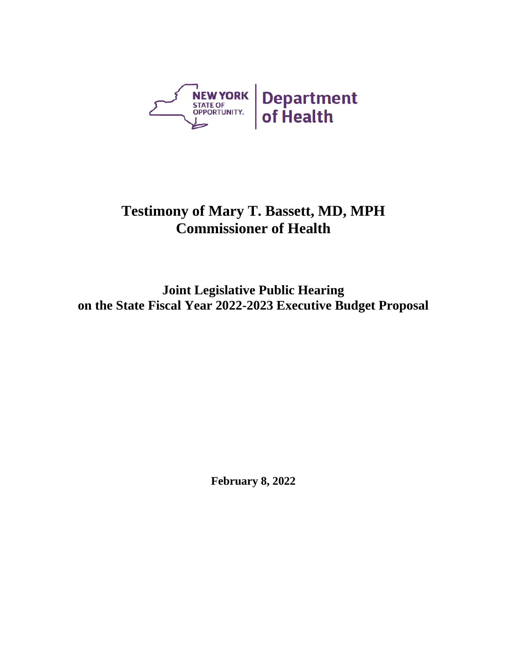

## **Testimony of Mary T. Bassett, MD, MPH Commissioner of Health**

**Joint Legislative Public Hearing on the State Fiscal Year 2022-2023 Executive Budget Proposal**

**February 8, 2022**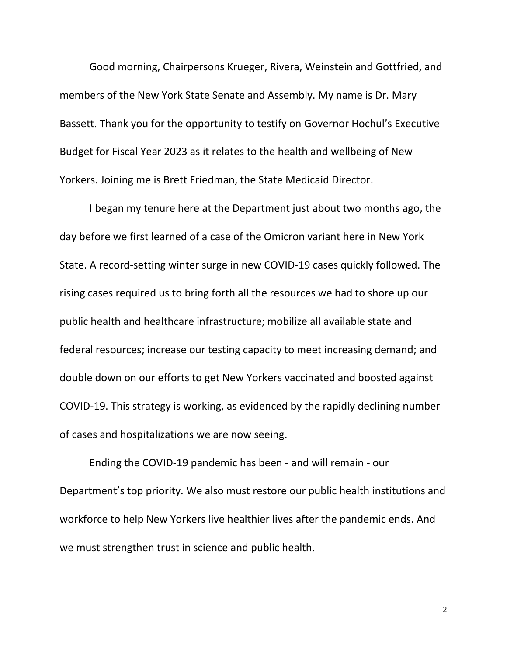Good morning, Chairpersons Krueger, Rivera, Weinstein and Gottfried, and members of the New York State Senate and Assembly. My name is Dr. Mary Bassett. Thank you for the opportunity to testify on Governor Hochul's Executive Budget for Fiscal Year 2023 as it relates to the health and wellbeing of New Yorkers. Joining me is Brett Friedman, the State Medicaid Director.

I began my tenure here at the Department just about two months ago, the day before we first learned of a case of the Omicron variant here in New York State. A record-setting winter surge in new COVID-19 cases quickly followed. The rising cases required us to bring forth all the resources we had to shore up our public health and healthcare infrastructure; mobilize all available state and federal resources; increase our testing capacity to meet increasing demand; and double down on our efforts to get New Yorkers vaccinated and boosted against COVID-19. This strategy is working, as evidenced by the rapidly declining number of cases and hospitalizations we are now seeing.

Ending the COVID-19 pandemic has been - and will remain - our Department's top priority. We also must restore our public health institutions and workforce to help New Yorkers live healthier lives after the pandemic ends. And we must strengthen trust in science and public health.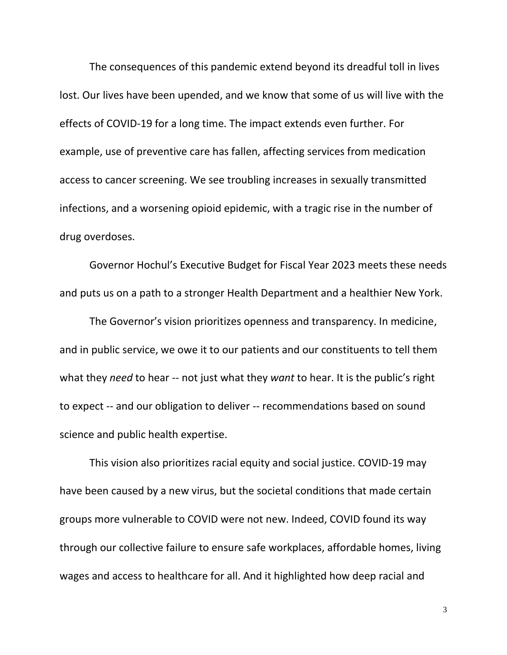The consequences of this pandemic extend beyond its dreadful toll in lives lost. Our lives have been upended, and we know that some of us will live with the effects of COVID-19 for a long time. The impact extends even further. For example, use of preventive care has fallen, affecting services from medication access to cancer screening. We see troubling increases in sexually transmitted infections, and a worsening opioid epidemic, with a tragic rise in the number of drug overdoses.

Governor Hochul's Executive Budget for Fiscal Year 2023 meets these needs and puts us on a path to a stronger Health Department and a healthier New York.

The Governor's vision prioritizes openness and transparency. In medicine, and in public service, we owe it to our patients and our constituents to tell them what they *need* to hear -- not just what they *want* to hear. It is the public's right to expect -- and our obligation to deliver -- recommendations based on sound science and public health expertise.

This vision also prioritizes racial equity and social justice. COVID-19 may have been caused by a new virus, but the societal conditions that made certain groups more vulnerable to COVID were not new. Indeed, COVID found its way through our collective failure to ensure safe workplaces, affordable homes, living wages and access to healthcare for all. And it highlighted how deep racial and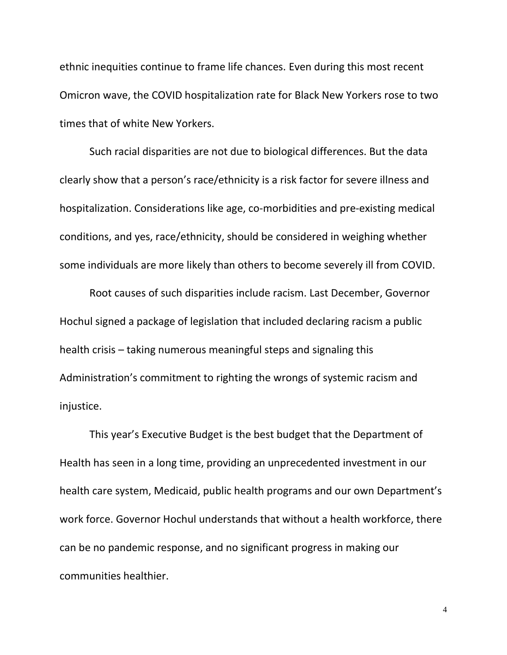ethnic inequities continue to frame life chances. Even during this most recent Omicron wave, the COVID hospitalization rate for Black New Yorkers rose to two times that of white New Yorkers.

Such racial disparities are not due to biological differences. But the data clearly show that a person's race/ethnicity is a risk factor for severe illness and hospitalization. Considerations like age, co-morbidities and pre-existing medical conditions, and yes, race/ethnicity, should be considered in weighing whether some individuals are more likely than others to become severely ill from COVID.

Root causes of such disparities include racism. Last December, Governor Hochul signed a package of legislation that included declaring racism a public health crisis – taking numerous meaningful steps and signaling this Administration's commitment to righting the wrongs of systemic racism and injustice.

This year's Executive Budget is the best budget that the Department of Health has seen in a long time, providing an unprecedented investment in our health care system, Medicaid, public health programs and our own Department's work force. Governor Hochul understands that without a health workforce, there can be no pandemic response, and no significant progress in making our communities healthier.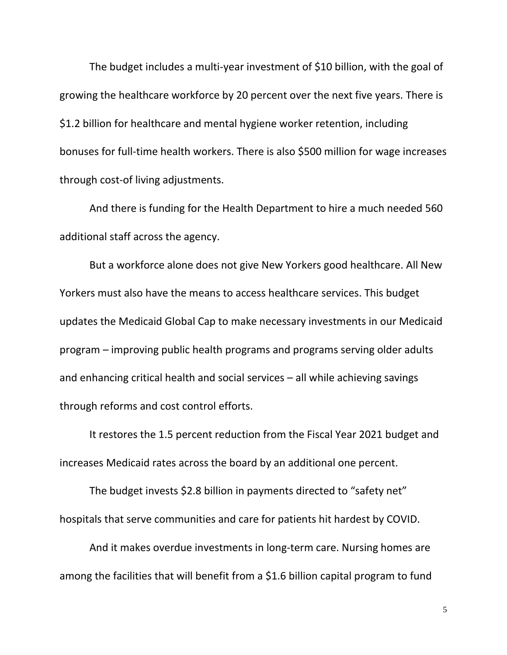The budget includes a multi-year investment of \$10 billion, with the goal of growing the healthcare workforce by 20 percent over the next five years. There is \$1.2 billion for healthcare and mental hygiene worker retention, including bonuses for full-time health workers. There is also \$500 million for wage increases through cost-of living adjustments.

And there is funding for the Health Department to hire a much needed 560 additional staff across the agency.

But a workforce alone does not give New Yorkers good healthcare. All New Yorkers must also have the means to access healthcare services. This budget updates the Medicaid Global Cap to make necessary investments in our Medicaid program – improving public health programs and programs serving older adults and enhancing critical health and social services – all while achieving savings through reforms and cost control efforts.

It restores the 1.5 percent reduction from the Fiscal Year 2021 budget and increases Medicaid rates across the board by an additional one percent.

The budget invests \$2.8 billion in payments directed to "safety net" hospitals that serve communities and care for patients hit hardest by COVID.

And it makes overdue investments in long-term care. Nursing homes are among the facilities that will benefit from a \$1.6 billion capital program to fund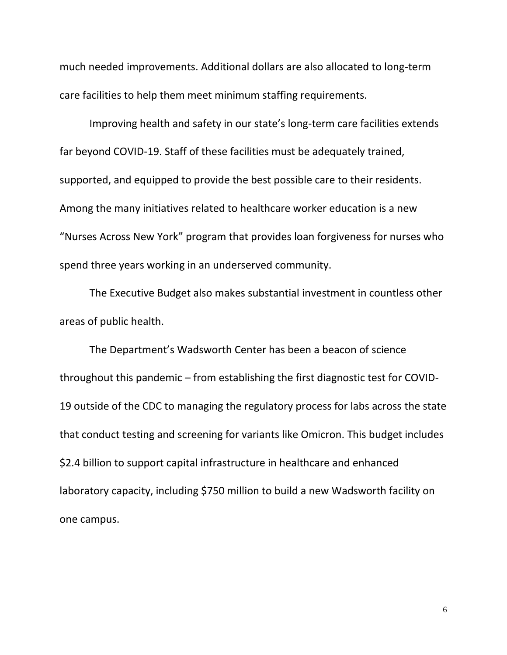much needed improvements. Additional dollars are also allocated to long-term care facilities to help them meet minimum staffing requirements.

Improving health and safety in our state's long-term care facilities extends far beyond COVID-19. Staff of these facilities must be adequately trained, supported, and equipped to provide the best possible care to their residents. Among the many initiatives related to healthcare worker education is a new "Nurses Across New York" program that provides loan forgiveness for nurses who spend three years working in an underserved community.

The Executive Budget also makes substantial investment in countless other areas of public health.

The Department's Wadsworth Center has been a beacon of science throughout this pandemic – from establishing the first diagnostic test for COVID-19 outside of the CDC to managing the regulatory process for labs across the state that conduct testing and screening for variants like Omicron. This budget includes \$2.4 billion to support capital infrastructure in healthcare and enhanced laboratory capacity, including \$750 million to build a new Wadsworth facility on one campus.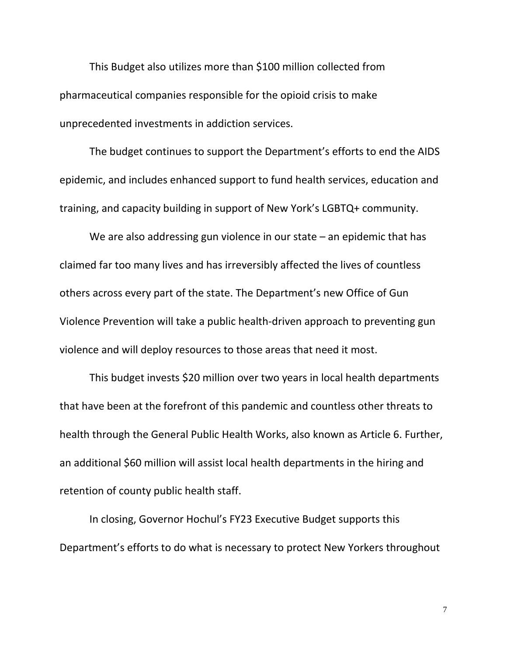This Budget also utilizes more than \$100 million collected from pharmaceutical companies responsible for the opioid crisis to make unprecedented investments in addiction services.

The budget continues to support the Department's efforts to end the AIDS epidemic, and includes enhanced support to fund health services, education and training, and capacity building in support of New York's LGBTQ+ community.

We are also addressing gun violence in our state – an epidemic that has claimed far too many lives and has irreversibly affected the lives of countless others across every part of the state. The Department's new Office of Gun Violence Prevention will take a public health-driven approach to preventing gun violence and will deploy resources to those areas that need it most.

This budget invests \$20 million over two years in local health departments that have been at the forefront of this pandemic and countless other threats to health through the General Public Health Works, also known as Article 6. Further, an additional \$60 million will assist local health departments in the hiring and retention of county public health staff.

In closing, Governor Hochul's FY23 Executive Budget supports this Department's efforts to do what is necessary to protect New Yorkers throughout